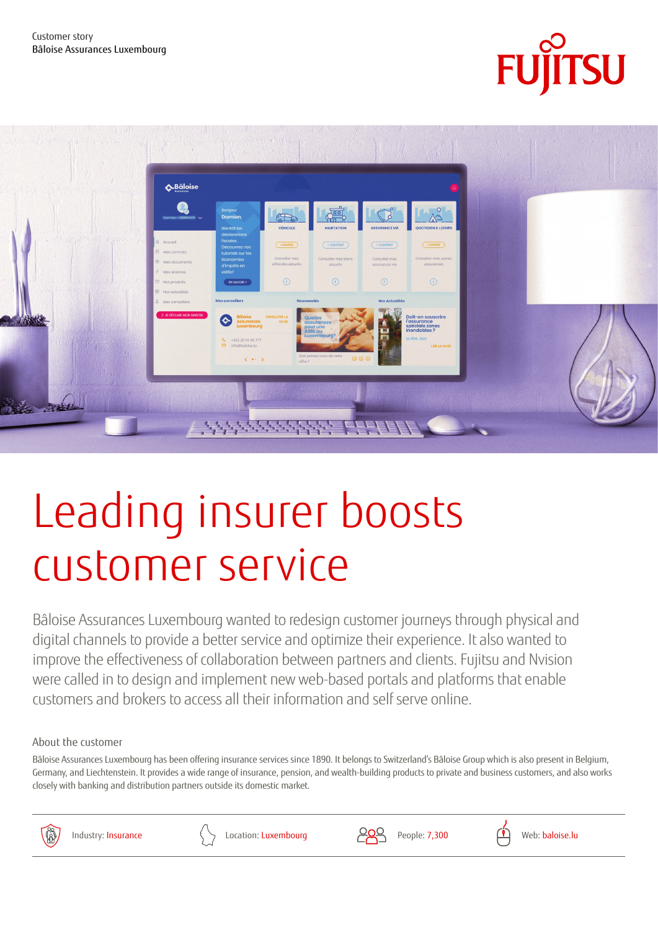



# Leading insurer boosts customer service

Bâloise Assurances Luxembourg wanted to redesign customer journeys through physical and digital channels to provide a better service and optimize their experience. It also wanted to improve the effectiveness of collaboration between partners and clients. Fujitsu and Nvision were called in to design and implement new web-based portals and platforms that enable customers and brokers to access all their information and self serve online.

About the customer

Bâloise Assurances Luxembourg has been offering insurance services since 1890. It belongs to Switzerland's Bâloise Group which is also present in Belgium, Germany, and Liechtenstein. It provides a wide range of insurance, pension, and wealth-building products to private and business customers, and also works closely with banking and distribution partners outside its domestic market.